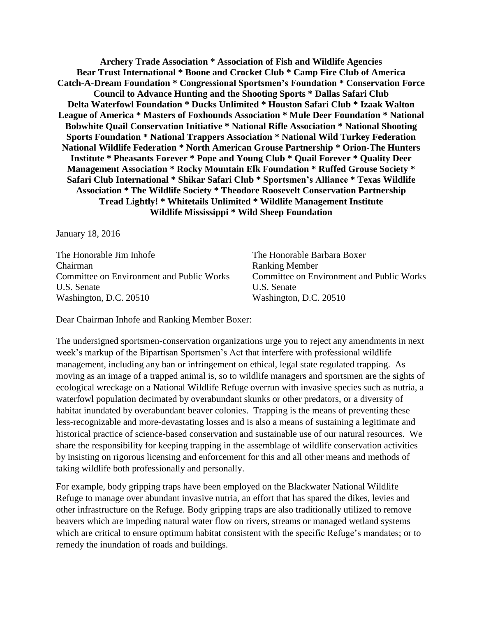**Archery Trade Association \* Association of Fish and Wildlife Agencies Bear Trust International \* Boone and Crocket Club \* Camp Fire Club of America Catch-A-Dream Foundation \* Congressional Sportsmen's Foundation \* Conservation Force Council to Advance Hunting and the Shooting Sports \* Dallas Safari Club Delta Waterfowl Foundation \* Ducks Unlimited \* Houston Safari Club \* Izaak Walton League of America \* Masters of Foxhounds Association \* Mule Deer Foundation \* National Bobwhite Quail Conservation Initiative \* National Rifle Association \* National Shooting Sports Foundation \* National Trappers Association \* National Wild Turkey Federation National Wildlife Federation \* North American Grouse Partnership \* Orion-The Hunters Institute \* Pheasants Forever \* Pope and Young Club \* Quail Forever \* Quality Deer Management Association \* Rocky Mountain Elk Foundation \* Ruffed Grouse Society \* Safari Club International \* Shikar Safari Club \* Sportsmen's Alliance \* Texas Wildlife Association \* The Wildlife Society \* Theodore Roosevelt Conservation Partnership Tread Lightly! \* Whitetails Unlimited \* Wildlife Management Institute Wildlife Mississippi \* Wild Sheep Foundation**

January 18, 2016

The Honorable Jim Inhofe The Honorable Barbara Boxer Chairman Ranking Member Committee on Environment and Public Works Committee on Environment and Public Works U.S. Senate U.S. Senate Washington, D.C. 20510 Washington, D.C. 20510

Dear Chairman Inhofe and Ranking Member Boxer:

The undersigned sportsmen-conservation organizations urge you to reject any amendments in next week's markup of the Bipartisan Sportsmen's Act that interfere with professional wildlife management, including any ban or infringement on ethical, legal state regulated trapping. As moving as an image of a trapped animal is, so to wildlife managers and sportsmen are the sights of ecological wreckage on a National Wildlife Refuge overrun with invasive species such as nutria, a waterfowl population decimated by overabundant skunks or other predators, or a diversity of habitat inundated by overabundant beaver colonies. Trapping is the means of preventing these less-recognizable and more-devastating losses and is also a means of sustaining a legitimate and historical practice of science-based conservation and sustainable use of our natural resources. We share the responsibility for keeping trapping in the assemblage of wildlife conservation activities by insisting on rigorous licensing and enforcement for this and all other means and methods of taking wildlife both professionally and personally.

For example, body gripping traps have been employed on the Blackwater National Wildlife Refuge to manage over abundant invasive nutria, an effort that has spared the dikes, levies and other infrastructure on the Refuge. Body gripping traps are also traditionally utilized to remove beavers which are impeding natural water flow on rivers, streams or managed wetland systems which are critical to ensure optimum habitat consistent with the specific Refuge's mandates; or to remedy the inundation of roads and buildings.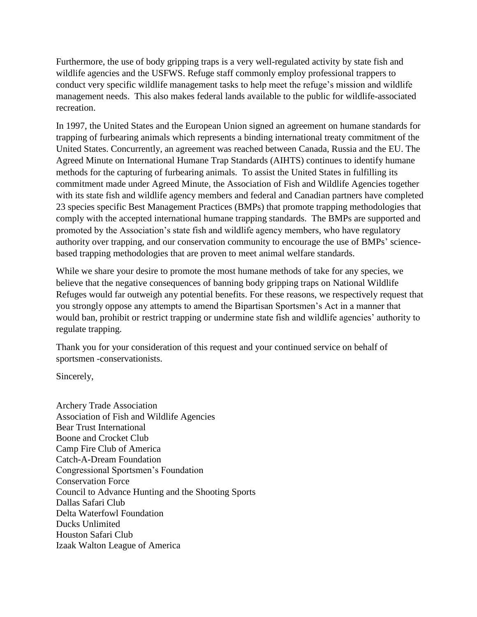Furthermore, the use of body gripping traps is a very well-regulated activity by state fish and wildlife agencies and the USFWS. Refuge staff commonly employ professional trappers to conduct very specific wildlife management tasks to help meet the refuge's mission and wildlife management needs. This also makes federal lands available to the public for wildlife-associated recreation.

In 1997, the United States and the European Union signed an agreement on humane standards for trapping of furbearing animals which represents a binding international treaty commitment of the United States. Concurrently, an agreement was reached between Canada, Russia and the EU. The Agreed Minute on International Humane Trap Standards (AIHTS) continues to identify humane methods for the capturing of furbearing animals. To assist the United States in fulfilling its commitment made under Agreed Minute, the Association of Fish and Wildlife Agencies together with its state fish and wildlife agency members and federal and Canadian partners have completed 23 species specific Best Management Practices (BMPs) that promote trapping methodologies that comply with the accepted international humane trapping standards. The BMPs are supported and promoted by the Association's state fish and wildlife agency members, who have regulatory authority over trapping, and our conservation community to encourage the use of BMPs' sciencebased trapping methodologies that are proven to meet animal welfare standards.

While we share your desire to promote the most humane methods of take for any species, we believe that the negative consequences of banning body gripping traps on National Wildlife Refuges would far outweigh any potential benefits. For these reasons, we respectively request that you strongly oppose any attempts to amend the Bipartisan Sportsmen's Act in a manner that would ban, prohibit or restrict trapping or undermine state fish and wildlife agencies' authority to regulate trapping.

Thank you for your consideration of this request and your continued service on behalf of sportsmen -conservationists.

Sincerely,

Archery Trade Association Association of Fish and Wildlife Agencies Bear Trust International Boone and Crocket Club Camp Fire Club of America Catch-A-Dream Foundation Congressional Sportsmen's Foundation Conservation Force Council to Advance Hunting and the Shooting Sports Dallas Safari Club Delta Waterfowl Foundation Ducks Unlimited Houston Safari Club Izaak Walton League of America